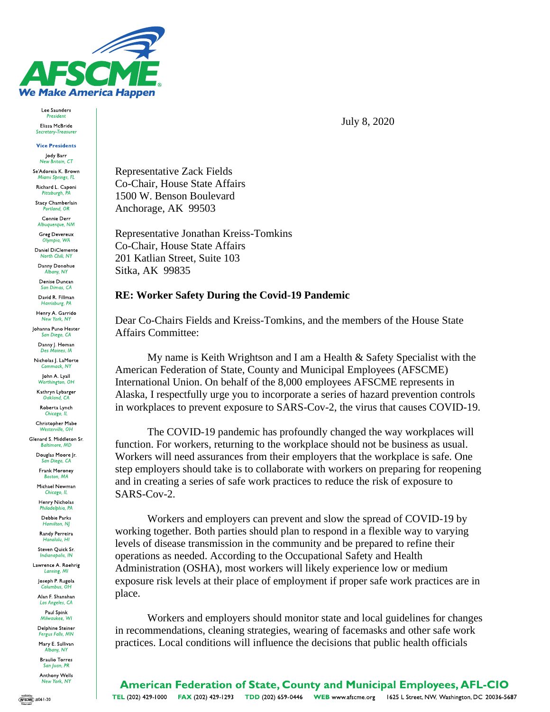

Lee Saunders President Elissa McBride

Secretary-Treasurer

**Vice Presidents** Jody Barr

New Britain, CT Se'Adoreia K. Brown Miami Springs, FL

Richard L. Caponi Pittsburgh, PA Stacy Chamberlain

ortland, OR Connie Derr

Albuquerque, NM **Greg Devereux** 

Olympia, WA

Daniel DiClemente

Danny Donohue Albany, NY

Denise Duncan San Dimas, CA

David R. Fillman Harrisburg,

Henry A. Garrido New York, NY

Johanna Puno Hester San Diego, CA

Danny J. Homan

Nicholas J. LaMorte Commack, NY

Iohn A. Lvall Worthington, OH

Kathryn Lybarger

Roberta Lynch Chicago, IL

Christopher Mabe Westerville, OH Glenard S. Middleton Sr.

**Baltimore, MD** Douglas Moore Jr.

San Diego, CA

Frank Moroney Boston, MA

Michael Newman Chicago, IL

Henry Nicholas Philadelphia, PA

Debbie Parks Hamilton, NJ

Randy Perreira Honolulu HI

Steven Ouick Sr. dianapolis, IN

Lawrence A. Roehrig Lansing, MI

Joseph P. Rugola Columbus OH

Alan F. Shanahan Los Angeles, CA

Paul Spink Milwaukee, WI

Delphine Steiner Fergus Falls, MN Mary E. Sullivan

Albany, NY **Braulio Torres** 

San Juan, PR **Anthony Wells** New York, NY

July 8, 2020

**Representative Zack Fields** Co-Chair, House State Affairs 1500 W. Benson Boulevard Anchorage, AK 99503

Representative Jonathan Kreiss-Tomkins Co-Chair. House State Affairs 201 Katlian Street, Suite 103 Sitka, AK 99835

## **RE: Worker Safety During the Covid-19 Pandemic**

Dear Co-Chairs Fields and Kreiss-Tomkins, and the members of the House State **Affairs Committee:** 

My name is Keith Wrightson and I am a Health & Safety Specialist with the American Federation of State, County and Municipal Employees (AFSCME) International Union. On behalf of the 8,000 employees AFSCME represents in Alaska, I respectfully urge you to incorporate a series of hazard prevention controls in workplaces to prevent exposure to SARS-Cov-2, the virus that causes COVID-19.

The COVID-19 pandemic has profoundly changed the way workplaces will function. For workers, returning to the workplace should not be business as usual. Workers will need assurances from their employers that the workplace is safe. One step employers should take is to collaborate with workers on preparing for reopening and in creating a series of safe work practices to reduce the risk of exposure to SARS-Cov-2.

Workers and employers can prevent and slow the spread of COVID-19 by working together. Both parties should plan to respond in a flexible way to varying levels of disease transmission in the community and be prepared to refine their operations as needed. According to the Occupational Safety and Health Administration (OSHA), most workers will likely experience low or medium exposure risk levels at their place of employment if proper safe work practices are in place.

Workers and employers should monitor state and local guidelines for changes in recommendations, cleaning strategies, wearing of facemasks and other safe work practices. Local conditions will influence the decisions that public health officials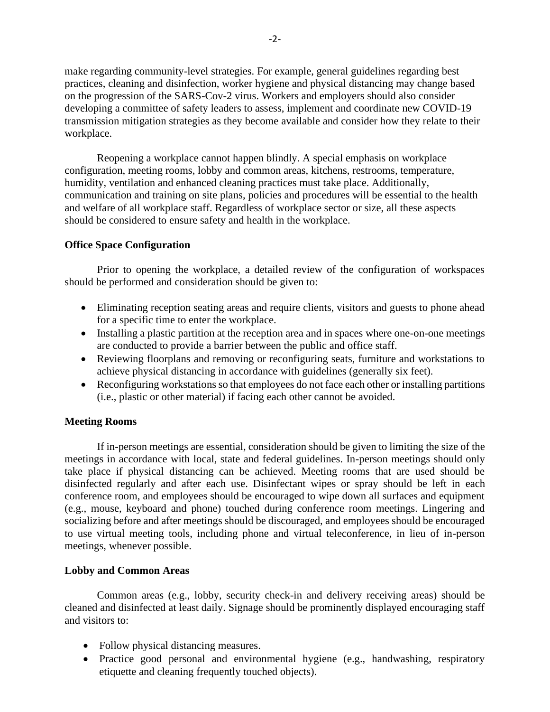make regarding community-level strategies. For example, general guidelines regarding best practices, cleaning and disinfection, worker hygiene and physical distancing may change based on the progression of the SARS-Cov-2 virus. Workers and employers should also consider developing a committee of safety leaders to assess, implement and coordinate new COVID-19 transmission mitigation strategies as they become available and consider how they relate to their workplace.

Reopening a workplace cannot happen blindly. A special emphasis on workplace configuration, meeting rooms, lobby and common areas, kitchens, restrooms, temperature, humidity, ventilation and enhanced cleaning practices must take place. Additionally, communication and training on site plans, policies and procedures will be essential to the health and welfare of all workplace staff. Regardless of workplace sector or size, all these aspects should be considered to ensure safety and health in the workplace.

## **Office Space Configuration**

Prior to opening the workplace, a detailed review of the configuration of workspaces should be performed and consideration should be given to:

- Eliminating reception seating areas and require clients, visitors and guests to phone ahead for a specific time to enter the workplace.
- Installing a plastic partition at the reception area and in spaces where one-on-one meetings are conducted to provide a barrier between the public and office staff.
- Reviewing floorplans and removing or reconfiguring seats, furniture and workstations to achieve physical distancing in accordance with guidelines (generally six feet).
- Reconfiguring workstations so that employees do not face each other or installing partitions (i.e., plastic or other material) if facing each other cannot be avoided.

## **Meeting Rooms**

If in-person meetings are essential, consideration should be given to limiting the size of the meetings in accordance with local, state and federal guidelines. In-person meetings should only take place if physical distancing can be achieved. Meeting rooms that are used should be disinfected regularly and after each use. Disinfectant wipes or spray should be left in each conference room, and employees should be encouraged to wipe down all surfaces and equipment (e.g., mouse, keyboard and phone) touched during conference room meetings. Lingering and socializing before and after meetings should be discouraged, and employees should be encouraged to use virtual meeting tools, including phone and virtual teleconference, in lieu of in-person meetings, whenever possible.

## **Lobby and Common Areas**

Common areas (e.g., lobby, security check-in and delivery receiving areas) should be cleaned and disinfected at least daily. Signage should be prominently displayed encouraging staff and visitors to:

- Follow physical distancing measures.
- Practice good personal and environmental hygiene (e.g., handwashing, respiratory etiquette and cleaning frequently touched objects).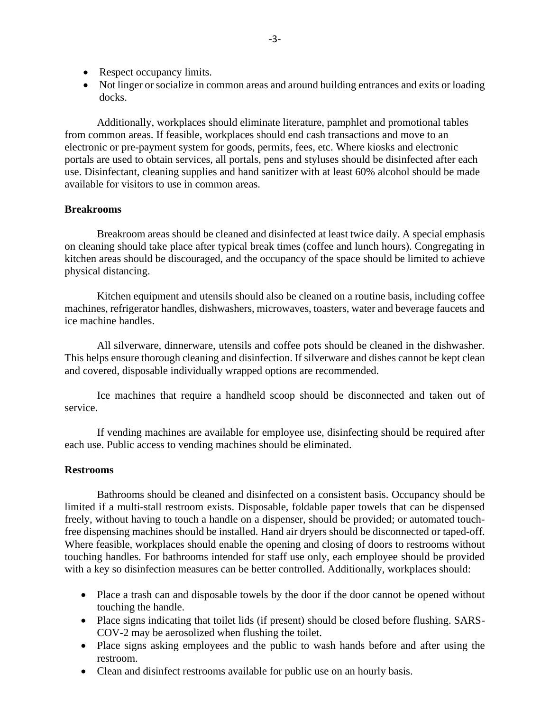- Respect occupancy limits.
- Not linger or socialize in common areas and around building entrances and exits or loading docks.

Additionally, workplaces should eliminate literature, pamphlet and promotional tables from common areas. If feasible, workplaces should end cash transactions and move to an electronic or pre-payment system for goods, permits, fees, etc. Where kiosks and electronic portals are used to obtain services, all portals, pens and styluses should be disinfected after each use. Disinfectant, cleaning supplies and hand sanitizer with at least 60% alcohol should be made available for visitors to use in common areas.

#### **Breakrooms**

Breakroom areas should be cleaned and disinfected at least twice daily. A special emphasis on cleaning should take place after typical break times (coffee and lunch hours). Congregating in kitchen areas should be discouraged, and the occupancy of the space should be limited to achieve physical distancing.

Kitchen equipment and utensils should also be cleaned on a routine basis, including coffee machines, refrigerator handles, dishwashers, microwaves, toasters, water and beverage faucets and ice machine handles.

All silverware, dinnerware, utensils and coffee pots should be cleaned in the dishwasher. This helps ensure thorough cleaning and disinfection. If silverware and dishes cannot be kept clean and covered, disposable individually wrapped options are recommended.

Ice machines that require a handheld scoop should be disconnected and taken out of service.

If vending machines are available for employee use, disinfecting should be required after each use. Public access to vending machines should be eliminated.

## **Restrooms**

Bathrooms should be cleaned and disinfected on a consistent basis. Occupancy should be limited if a multi-stall restroom exists. Disposable, foldable paper towels that can be dispensed freely, without having to touch a handle on a dispenser, should be provided; or automated touchfree dispensing machines should be installed. Hand air dryers should be disconnected or taped-off. Where feasible, workplaces should enable the opening and closing of doors to restrooms without touching handles. For bathrooms intended for staff use only, each employee should be provided with a key so disinfection measures can be better controlled. Additionally, workplaces should:

- Place a trash can and disposable towels by the door if the door cannot be opened without touching the handle.
- Place signs indicating that toilet lids (if present) should be closed before flushing. SARS-COV-2 may be aerosolized when flushing the toilet.
- Place signs asking employees and the public to wash hands before and after using the restroom.
- Clean and disinfect restrooms available for public use on an hourly basis.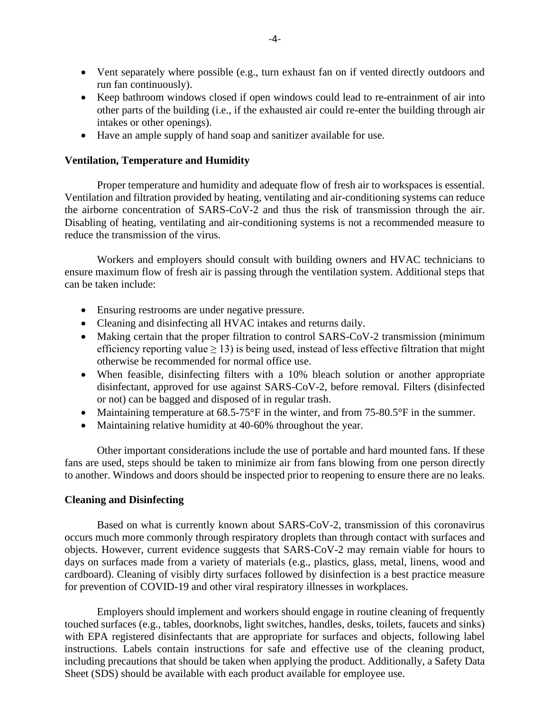- Vent separately where possible (e.g., turn exhaust fan on if vented directly outdoors and run fan continuously).
- Keep bathroom windows closed if open windows could lead to re-entrainment of air into other parts of the building (i.e., if the exhausted air could re-enter the building through air intakes or other openings).
- Have an ample supply of hand soap and sanitizer available for use.

## **Ventilation, Temperature and Humidity**

Proper temperature and humidity and adequate flow of fresh air to workspaces is essential. Ventilation and filtration provided by heating, ventilating and air-conditioning systems can reduce the airborne concentration of SARS-CoV-2 and thus the risk of transmission through the air. Disabling of heating, ventilating and air-conditioning systems is not a recommended measure to reduce the transmission of the virus.

Workers and employers should consult with building owners and HVAC technicians to ensure maximum flow of fresh air is passing through the ventilation system. Additional steps that can be taken include:

- Ensuring restrooms are under negative pressure.
- Cleaning and disinfecting all HVAC intakes and returns daily.
- Making certain that the proper filtration to control SARS-CoV-2 transmission (minimum efficiency reporting value  $\geq$  13) is being used, instead of less effective filtration that might otherwise be recommended for normal office use.
- When feasible, disinfecting filters with a 10% bleach solution or another appropriate disinfectant, approved for use against SARS-CoV-2, before removal. Filters (disinfected or not) can be bagged and disposed of in regular trash.
- Maintaining temperature at  $68.5$ -75°F in the winter, and from 75-80.5°F in the summer.
- Maintaining relative humidity at 40-60% throughout the year.

Other important considerations include the use of portable and hard mounted fans. If these fans are used, steps should be taken to minimize air from fans blowing from one person directly to another. Windows and doors should be inspected prior to reopening to ensure there are no leaks.

## **Cleaning and Disinfecting**

Based on what is currently known about SARS-CoV-2, transmission of this coronavirus occurs much more commonly through respiratory droplets than through contact with surfaces and objects. However, current evidence suggests that SARS-CoV-2 may remain viable for hours to days on surfaces made from a variety of materials (e.g., plastics, glass, metal, linens, wood and cardboard). Cleaning of visibly dirty surfaces followed by disinfection is a best practice measure for prevention of COVID-19 and other viral respiratory illnesses in workplaces.

Employers should implement and workers should engage in routine cleaning of frequently touched surfaces (e.g., tables, doorknobs, light switches, handles, desks, toilets, faucets and sinks) with EPA registered disinfectants that are appropriate for surfaces and objects, following label instructions. Labels contain instructions for safe and effective use of the cleaning product, including precautions that should be taken when applying the product. Additionally, a Safety Data Sheet (SDS) should be available with each product available for employee use.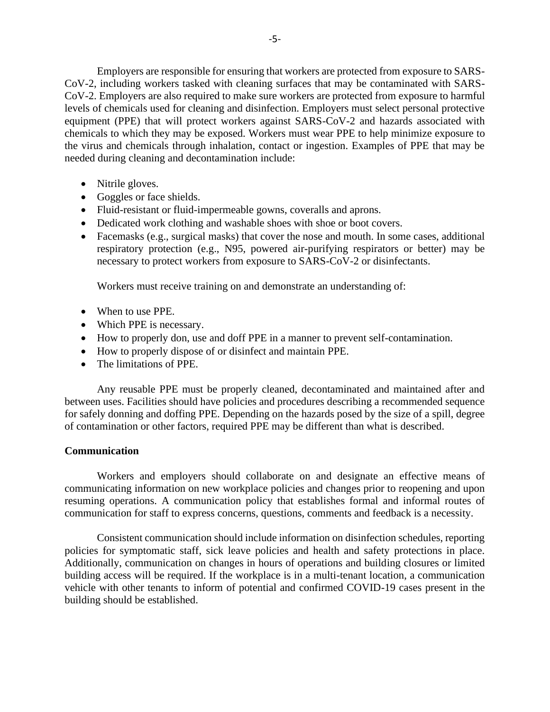Employers are responsible for ensuring that workers are protected from exposure to SARS-CoV-2, including workers tasked with cleaning surfaces that may be contaminated with SARS-CoV-2. Employers are also required to make sure workers are protected from exposure to harmful levels of chemicals used for cleaning and disinfection. Employers must select personal protective equipment (PPE) that will protect workers against SARS-CoV-2 and hazards associated with chemicals to which they may be exposed. Workers must wear PPE to help minimize exposure to the virus and chemicals through inhalation, contact or ingestion. Examples of PPE that may be needed during cleaning and decontamination include:

- Nitrile gloves.
- Goggles or face shields.
- Fluid-resistant or fluid-impermeable gowns, coveralls and aprons.
- Dedicated work clothing and washable shoes with shoe or boot covers.
- Facemasks (e.g., surgical masks) that cover the nose and mouth. In some cases, additional respiratory protection (e.g., N95, powered air-purifying respirators or better) may be necessary to protect workers from exposure to SARS-CoV-2 or disinfectants.

Workers must receive training on and demonstrate an understanding of:

- When to use PPE.
- Which PPE is necessary.
- How to properly don, use and doff PPE in a manner to prevent self-contamination.
- How to properly dispose of or disinfect and maintain PPE.
- The limitations of PPE.

Any reusable PPE must be properly cleaned, decontaminated and maintained after and between uses. Facilities should have policies and procedures describing a recommended sequence for safely donning and doffing PPE. Depending on the hazards posed by the size of a spill, degree of contamination or other factors, required PPE may be different than what is described.

# **Communication**

Workers and employers should collaborate on and designate an effective means of communicating information on new workplace policies and changes prior to reopening and upon resuming operations. A communication policy that establishes formal and informal routes of communication for staff to express concerns, questions, comments and feedback is a necessity.

Consistent communication should include information on disinfection schedules, reporting policies for symptomatic staff, sick leave policies and health and safety protections in place. Additionally, communication on changes in hours of operations and building closures or limited building access will be required. If the workplace is in a multi-tenant location, a communication vehicle with other tenants to inform of potential and confirmed COVID-19 cases present in the building should be established.